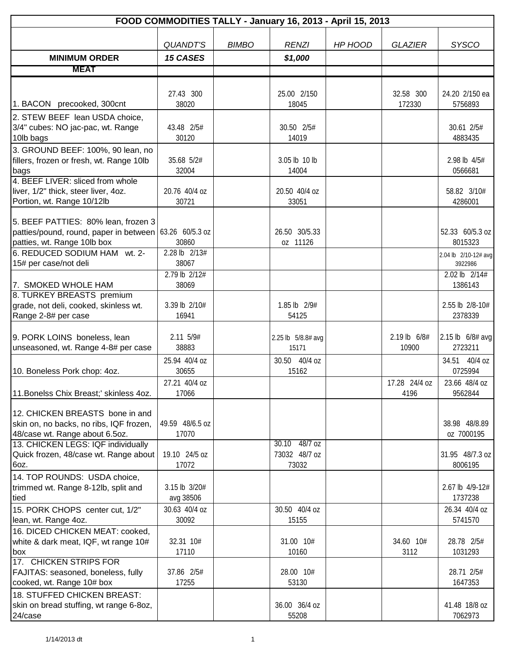| FOOD COMMODITIES TALLY - January 16, 2013 - April 15, 2013 |                        |              |                        |         |                |                          |  |  |
|------------------------------------------------------------|------------------------|--------------|------------------------|---------|----------------|--------------------------|--|--|
|                                                            |                        |              |                        |         |                |                          |  |  |
|                                                            | <b>QUANDT'S</b>        | <b>BIMBO</b> | <b>RENZI</b>           | HP HOOD | <b>GLAZIER</b> | <b>SYSCO</b>             |  |  |
| <b>MINIMUM ORDER</b>                                       | <b>15 CASES</b>        |              | \$1,000                |         |                |                          |  |  |
| <b>MEAT</b>                                                |                        |              |                        |         |                |                          |  |  |
|                                                            |                        |              |                        |         |                |                          |  |  |
|                                                            | 27.43 300              |              | 25.00 2/150            |         | 32.58 300      | 24.20 2/150 ea           |  |  |
| 1. BACON precooked, 300cnt                                 | 38020                  |              | 18045                  |         | 172330         | 5756893                  |  |  |
| 2. STEW BEEF lean USDA choice,                             |                        |              |                        |         |                |                          |  |  |
| 3/4" cubes: NO jac-pac, wt. Range                          | 43.48 2/5#             |              | 30.50 2/5#             |         |                | 30.61 2/5#               |  |  |
| 10lb bags                                                  | 30120                  |              | 14019                  |         |                | 4883435                  |  |  |
| 3. GROUND BEEF: 100%, 90 lean, no                          |                        |              |                        |         |                |                          |  |  |
| fillers, frozen or fresh, wt. Range 10lb<br>bags           | 35.68 5/2#<br>32004    |              | 3.05 lb 10 lb<br>14004 |         |                | 2.98 lb 4/5#<br>0566681  |  |  |
| 4. BEEF LIVER: sliced from whole                           |                        |              |                        |         |                |                          |  |  |
| liver, 1/2" thick, steer liver, 4oz.                       | 20.76 40/4 oz          |              | 20.50 40/4 oz          |         |                | 58.82 3/10#              |  |  |
| Portion, wt. Range 10/12lb                                 | 30721                  |              | 33051                  |         |                | 4286001                  |  |  |
|                                                            |                        |              |                        |         |                |                          |  |  |
| 5. BEEF PATTIES: 80% lean, frozen 3                        |                        |              |                        |         |                |                          |  |  |
| patties/pound, round, paper in between 63.26 60/5.3 oz     |                        |              | 26.50 30/5.33          |         |                | 52.33 60/5.3 oz          |  |  |
| patties, wt. Range 10lb box                                | 30860                  |              | oz 11126               |         |                | 8015323                  |  |  |
| 6. REDUCED SODIUM HAM wt. 2-<br>15# per case/not deli      | 2.28 lb 2/13#<br>38067 |              |                        |         |                | 2.04 lb 2/10-12# avg     |  |  |
|                                                            | 2.79 lb 2/12#          |              |                        |         |                | 3922986<br>2.02 lb 2/14# |  |  |
| 7. SMOKED WHOLE HAM                                        | 38069                  |              |                        |         |                | 1386143                  |  |  |
| 8. TURKEY BREASTS premium                                  |                        |              |                        |         |                |                          |  |  |
| grade, not deli, cooked, skinless wt.                      | 3.39 lb 2/10#          |              | 1.85 lb 2/9#           |         |                | 2.55 lb 2/8-10#          |  |  |
| Range 2-8# per case                                        | 16941                  |              | 54125                  |         |                | 2378339                  |  |  |
|                                                            |                        |              |                        |         |                |                          |  |  |
| 9. PORK LOINS boneless, lean                               | 2.11 5/9#              |              | 2.25 lb 5/8.8# avg     |         | 2.19 lb 6/8#   | 2.15 lb $6/8#$ avg       |  |  |
| unseasoned, wt. Range 4-8# per case                        | 38883                  |              | 15171                  |         | 10900          | 2723211                  |  |  |
|                                                            | 25.94 40/4 oz          |              | 30.50 40/4 oz          |         |                | 34.51 40/4 oz            |  |  |
| 10. Boneless Pork chop: 4oz.                               | 30655                  |              | 15162                  |         |                | 0725994                  |  |  |
|                                                            | 27.21 40/4 oz          |              |                        |         | 17.28 24/4 oz  | 23.66 48/4 oz            |  |  |
| 11. Bonelss Chix Breast;' skinless 4oz.                    | 17066                  |              |                        |         | 4196           | 9562844                  |  |  |
| 12. CHICKEN BREASTS bone in and                            |                        |              |                        |         |                |                          |  |  |
| skin on, no backs, no ribs, IQF frozen,                    | 49.59 48/6.5 oz        |              |                        |         |                | 38.98 48/8.89            |  |  |
| 48/case wt. Range about 6.5oz.                             | 17070                  |              |                        |         |                | oz 7000195               |  |  |
| 13. CHICKEN LEGS: IQF individually                         |                        |              | 30.10 48/7 oz          |         |                |                          |  |  |
| Quick frozen, 48/case wt. Range about                      | 19.10 24/5 oz          |              | 73032 48/7 oz          |         |                | 31.95 48/7.3 oz          |  |  |
| 6oz.                                                       | 17072                  |              | 73032                  |         |                | 8006195                  |  |  |
| 14. TOP ROUNDS: USDA choice,                               |                        |              |                        |         |                |                          |  |  |
| trimmed wt. Range 8-12lb, split and                        | 3.15 lb $3/20#$        |              |                        |         |                | 2.67 lb 4/9-12#          |  |  |
| tied                                                       | avg 38506              |              |                        |         |                | 1737238                  |  |  |
| 15. PORK CHOPS center cut, 1/2"                            | 30.63 40/4 oz<br>30092 |              | 30.50 40/4 oz<br>15155 |         |                | 26.34 40/4 oz<br>5741570 |  |  |
| lean, wt. Range 4oz.<br>16. DICED CHICKEN MEAT: cooked,    |                        |              |                        |         |                |                          |  |  |
| white & dark meat, IQF, wt range 10#                       | 32.31 10#              |              | 31.00 10#              |         | 34.60 10#      | 28.78 2/5#               |  |  |
| box                                                        | 17110                  |              | 10160                  |         | 3112           | 1031293                  |  |  |
| 17. CHICKEN STRIPS FOR                                     |                        |              |                        |         |                |                          |  |  |
| FAJITAS: seasoned, boneless, fully                         | 37.86 2/5#             |              | 28.00 10#              |         |                | 28.71 2/5#               |  |  |
| cooked, wt. Range 10# box                                  | 17255                  |              | 53130                  |         |                | 1647353                  |  |  |
| 18. STUFFED CHICKEN BREAST:                                |                        |              |                        |         |                |                          |  |  |
| skin on bread stuffing, wt range 6-8oz,                    |                        |              | 36.00 36/4 oz          |         |                | 41.48 18/8 oz            |  |  |
| 24/case                                                    |                        |              | 55208                  |         |                | 7062973                  |  |  |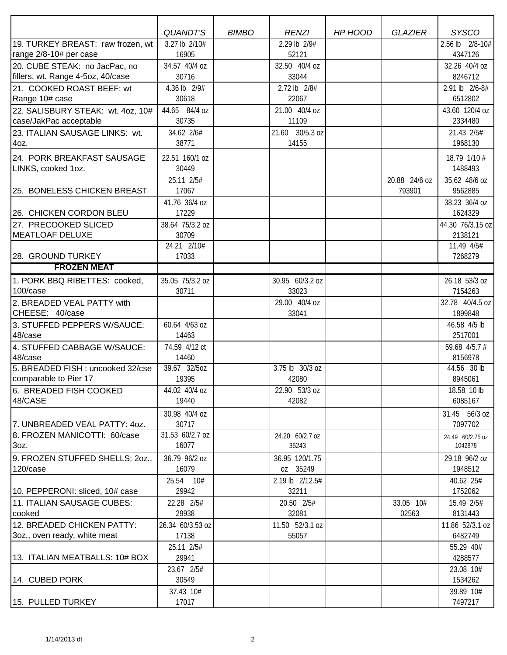|                                      | <b>QUANDT'S</b>     | <b>BIMBO</b> | <b>RENZI</b>        | HP HOOD | <b>GLAZIER</b>     | <b>SYSCO</b>          |
|--------------------------------------|---------------------|--------------|---------------------|---------|--------------------|-----------------------|
| 19. TURKEY BREAST: raw frozen, wt    | 3.27 lb 2/10#       |              | 2.29 lb 2/9#        |         |                    | 2.56 lb 2/8-10#       |
| range 2/8-10# per case               | 16905               |              | 52121               |         |                    | 4347126               |
| 20. CUBE STEAK: no JacPac, no        | 34.57 40/4 oz       |              | 32.50 40/4 oz       |         |                    | 32.26 40/4 oz         |
| fillers, wt. Range 4-5oz, 40/case    | 30716               |              | 33044               |         |                    | 8246712               |
| 21. COOKED ROAST BEEF: wt            | 4.36 lb 2/9#        |              | 2.72 lb 2/8#        |         |                    | 2.91 lb 2/6-8#        |
| Range 10# case                       | 30618               |              | 22067               |         |                    | 6512802               |
| 22. SALISBURY STEAK: wt. 4oz, 10#    | 44.65 84/4 oz       |              | 21.00 40/4 oz       |         |                    | 43.60 120/4 oz        |
| case/JakPac acceptable               | 30735               |              | 11109               |         |                    | 2334480               |
| 23. ITALIAN SAUSAGE LINKS: wt.       | 34.62 2/6#          |              | 21.60 30/5.3 oz     |         |                    | 21.43 2/5#            |
| 4oz.                                 | 38771               |              | 14155               |         |                    | 1968130               |
| 24. PORK BREAKFAST SAUSAGE           | 22.51 160/1 oz      |              |                     |         |                    | 18.79 1/10 #          |
| LINKS, cooked 1oz.                   | 30449               |              |                     |         |                    | 1488493               |
|                                      | 25.11 2/5#          |              |                     |         | 20.88 24/6 oz      | 35.62 48/6 oz         |
| 25. BONELESS CHICKEN BREAST          | 17067               |              |                     |         | 793901             | 9562885               |
|                                      | 41.76 36/4 oz       |              |                     |         |                    | 38.23 36/4 oz         |
| 26. CHICKEN CORDON BLEU              | 17229               |              |                     |         |                    | 1624329               |
| 27. PRECOOKED SLICED                 | 38.64 75/3.2 oz     |              |                     |         |                    | 44.30 76/3.15 oz      |
| <b>MEATLOAF DELUXE</b>               | 30709               |              |                     |         |                    | 2138121               |
|                                      | 24.21 2/10#         |              |                     |         |                    | 11.49 4/5#            |
| 28. GROUND TURKEY                    | 17033               |              |                     |         |                    | 7268279               |
| <b>FROZEN MEAT</b>                   |                     |              |                     |         |                    |                       |
| 1. PORK BBQ RIBETTES: cooked,        | 35.05 75/3.2 oz     |              | 30.95 60/3.2 oz     |         |                    | 26.18 53/3 oz         |
| 100/case                             | 30711               |              | 33023               |         |                    | 7154263               |
| 2. BREADED VEAL PATTY with           |                     |              | 29.00 40/4 oz       |         |                    | 32.78 40/4.5 oz       |
| CHEESE: 40/case                      |                     |              | 33041               |         |                    | 1899848               |
| 3. STUFFED PEPPERS W/SAUCE:          | 60.64 4/63 oz       |              |                     |         |                    | 46.58 4/5 lb          |
| 48/case                              | 14463               |              |                     |         |                    | 2517001               |
| 4. STUFFED CABBAGE W/SAUCE:          | 74.59 4/12 ct       |              |                     |         |                    | 59.68 4/5.7 #         |
| 48/case                              | 14460               |              |                     |         |                    | 8156978               |
| 5. BREADED FISH : uncooked 32/cse    | 39.67 32/5oz        |              | 3.75 lb 30/3 oz     |         |                    | 44.56 30 lb           |
| comparable to Pier 17                | 19395               |              | 42080               |         |                    | 8945061               |
| 6. BREADED FISH COOKED               | 44.02 40/4 oz       |              | 22.90 53/3 oz       |         |                    | 18.58 10 lb           |
| 48/CASE                              | 19440               |              | 42082               |         |                    | 6085167               |
|                                      | 30.98 40/4 oz       |              |                     |         |                    | 31.45 56/3 oz         |
| 7. UNBREADED VEAL PATTY: 40Z.        | 30717               |              |                     |         |                    | 7097702               |
| 8. FROZEN MANICOTTI: 60/case         | 31.53 60/2.7 oz     |              | 24.20 60/2.7 oz     |         |                    | 24.49 60/2.75 oz      |
| 3oz.                                 | 16077               |              | 35243               |         |                    | 1042878               |
| 9. FROZEN STUFFED SHELLS: 20Z.,      | 36.79 96/2 oz       |              | 36.95 120/1.75      |         |                    | 29.18 96/2 oz         |
| 120/case                             | 16079               |              | oz 35249            |         |                    | 1948512               |
|                                      | 25.54 10#           |              | 2.19 lb 2/12.5#     |         |                    | 40.62 25#             |
| 10. PEPPERONI: sliced, 10# case      | 29942               |              | 32211               |         |                    | 1752062               |
| 11. ITALIAN SAUSAGE CUBES:           | 22.28 2/5#<br>29938 |              | 20.50 2/5#<br>32081 |         | 33.05 10#<br>02563 | 15.49 2/5#<br>8131443 |
| cooked<br>12. BREADED CHICKEN PATTY: | 26.34 60/3.53 oz    |              | 11.50 52/3.1 oz     |         |                    | 11.86 52/3.1 oz       |
| 3oz., oven ready, white meat         | 17138               |              | 55057               |         |                    | 6482749               |
|                                      | 25.11 2/5#          |              |                     |         |                    | 55.29 40#             |
| 13. ITALIAN MEATBALLS: 10# BOX       | 29941               |              |                     |         |                    | 4288577               |
|                                      | 23.67 2/5#          |              |                     |         |                    | 23.08 10#             |
| 14. CUBED PORK                       | 30549               |              |                     |         |                    | 1534262               |
|                                      | 37.43 10#           |              |                     |         |                    | 39.89 10#             |
| 15. PULLED TURKEY                    | 17017               |              |                     |         |                    | 7497217               |
|                                      |                     |              |                     |         |                    |                       |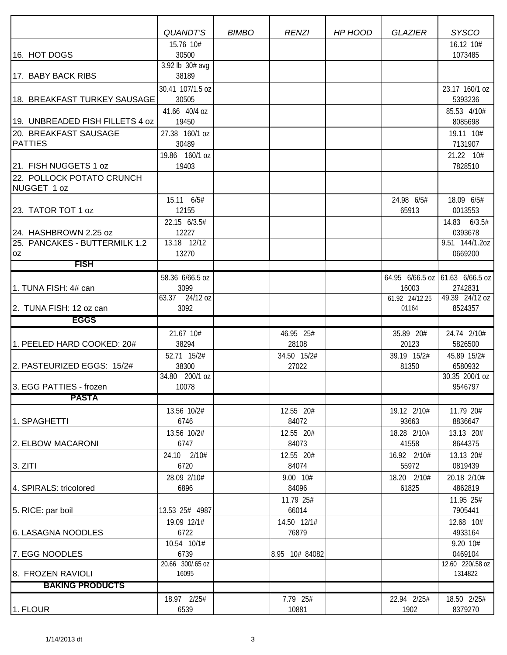|                                 | QUANDT'S                 | <b>BIMBO</b> | <b>RENZI</b>   | HP HOOD | <b>GLAZIER</b>          | <b>SYSCO</b>                               |
|---------------------------------|--------------------------|--------------|----------------|---------|-------------------------|--------------------------------------------|
|                                 | 15.76 10#                |              |                |         |                         | 16.12 10#                                  |
| 16. HOT DOGS                    | 30500<br>3.92 lb 30# avg |              |                |         |                         | 1073485                                    |
| 17. BABY BACK RIBS              | 38189                    |              |                |         |                         |                                            |
|                                 | 30.41 107/1.5 oz         |              |                |         |                         | 23.17 160/1 oz                             |
| 18. BREAKFAST TURKEY SAUSAGE    | 30505                    |              |                |         |                         | 5393236                                    |
|                                 | 41.66 40/4 oz            |              |                |         |                         | 85.53 4/10#                                |
| 19. UNBREADED FISH FILLETS 4 oz | 19450                    |              |                |         |                         | 8085698                                    |
| 20. BREAKFAST SAUSAGE           | 27.38 160/1 oz           |              |                |         |                         | 19.11 10#                                  |
| <b>PATTIES</b>                  | 30489                    |              |                |         |                         | 7131907                                    |
|                                 | 19.86 160/1 oz           |              |                |         |                         | 21.22 10#                                  |
| 21. FISH NUGGETS 1 oz           | 19403                    |              |                |         |                         | 7828510                                    |
| 22. POLLOCK POTATO CRUNCH       |                          |              |                |         |                         |                                            |
| NUGGET 1 oz                     |                          |              |                |         |                         |                                            |
|                                 | 15.11 6/5#               |              |                |         | 24.98 6/5#              | 18.09 6/5#                                 |
| 23. TATOR TOT 1 oz              | 12155                    |              |                |         | 65913                   | 0013553                                    |
|                                 | 22.15 6/3.5#             |              |                |         |                         | 14.83 6/3.5#                               |
| 24. HASHBROWN 2.25 oz           | 12227                    |              |                |         |                         | 0393678                                    |
| 25. PANCAKES - BUTTERMILK 1.2   | 13.18 12/12              |              |                |         |                         | 9.51 144/1.20Z                             |
| 0Z<br><b>FISH</b>               | 13270                    |              |                |         |                         | 0669200                                    |
|                                 |                          |              |                |         |                         |                                            |
| 1. TUNA FISH: 4# can            | 58.36 6/66.5 oz<br>3099  |              |                |         |                         | 64.95 6/66.5 oz 61.63 6/66.5 oz<br>2742831 |
|                                 | 63.37 24/12 oz           |              |                |         | 16003<br>61.92 24/12.25 | 49.39 24/12 oz                             |
| 2. TUNA FISH: 12 oz can         | 3092                     |              |                |         | 01164                   | 8524357                                    |
| <b>EGGS</b>                     |                          |              |                |         |                         |                                            |
|                                 | 21.67 10#                |              | 46.95 25#      |         | 35.89 20#               | 24.74 2/10#                                |
| 1. PEELED HARD COOKED: 20#      | 38294                    |              | 28108          |         | 20123                   | 5826500                                    |
|                                 | 52.71 15/2#              |              | 34.50 15/2#    |         | 39.19 15/2#             | 45.89 15/2#                                |
| 2. PASTEURIZED EGGS: 15/2#      | 38300                    |              | 27022          |         | 81350                   | 6580932                                    |
|                                 | 34.80 200/1 oz           |              |                |         |                         | 30.35 200/1 oz                             |
| 3. EGG PATTIES - frozen         | 10078                    |              |                |         |                         | 9546797                                    |
| <b>PASTA</b>                    |                          |              |                |         |                         |                                            |
|                                 | 13.56 10/2#              |              | 12.55 20#      |         | 19.12 2/10#             | 11.79 20#                                  |
| 1. SPAGHETTI                    | 6746                     |              | 84072          |         | 93663                   | 8836647                                    |
|                                 | 13.56 10/2#              |              | 12.55 20#      |         | 18.28 2/10#             | 13.13 20#                                  |
| 2. ELBOW MACARONI               | 6747                     |              | 84073          |         | 41558                   | 8644375                                    |
|                                 | 24.10 2/10#              |              | 12.55 20#      |         | 16.92 2/10#             | 13.13 20#                                  |
| 3. ZITI                         | 6720                     |              | 84074          |         | 55972                   | 0819439                                    |
|                                 | 28.09 2/10#              |              | 9.00 10#       |         | 18.20 2/10#             | 20.18 2/10#                                |
| 4. SPIRALS: tricolored          | 6896                     |              | 84096          |         | 61825                   | 4862819                                    |
|                                 |                          |              | 11.79 25#      |         |                         | 11.95 25#                                  |
| 5. RICE: par boil               | 13.53 25# 4987           |              | 66014          |         |                         | 7905441                                    |
|                                 | 19.09 12/1#              |              | 14.50 12/1#    |         |                         | 12.68 10#                                  |
| 6. LASAGNA NOODLES              | 6722                     |              | 76879          |         |                         | 4933164                                    |
|                                 | 10.54 10/1#              |              |                |         |                         | 9.20 10#                                   |
| 7. EGG NOODLES                  | 6739<br>20.66 300/.65 oz |              | 8.95 10# 84082 |         |                         | 0469104<br>12.60 220/.58 oz                |
| 8. FROZEN RAVIOLI               | 16095                    |              |                |         |                         | 1314822                                    |
| <b>BAKING PRODUCTS</b>          |                          |              |                |         |                         |                                            |
|                                 | 18.97 2/25#              |              | 7.79 25#       |         | 22.94 2/25#             | 18.50 2/25#                                |
| 1. FLOUR                        | 6539                     |              | 10881          |         | 1902                    | 8379270                                    |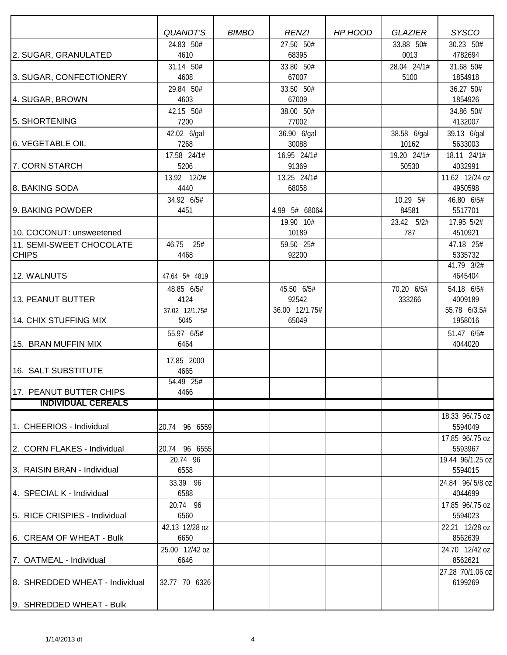|                                | <b>QUANDT'S</b>        | <b>BIMBO</b> | <b>RENZI</b>            | HP HOOD | <b>GLAZIER</b> | <b>SYSCO</b>               |
|--------------------------------|------------------------|--------------|-------------------------|---------|----------------|----------------------------|
|                                | 24.83 50#              |              | 27.50 50#               |         | 33.88 50#      | 30.23 50#                  |
| 2. SUGAR, GRANULATED           | 4610                   |              | 68395                   |         | 0013           | 4782694                    |
|                                | 31.14 50#              |              | 33.80 50#               |         | 28.04 24/1#    | 31.68 50#                  |
| 3. SUGAR, CONFECTIONERY        | 4608                   |              | 67007                   |         | 5100           | 1854918                    |
|                                | 29.84 50#              |              | 33.50 50#               |         |                | 36.27 50#                  |
| 4. SUGAR, BROWN                | 4603                   |              | 67009                   |         |                | 1854926                    |
|                                | 42.15 50#              |              | 38.00 50#               |         |                | 34.86 50#                  |
| 5. SHORTENING                  | 7200                   |              | 77002                   |         |                | 4132007                    |
|                                | 42.02 6/gal            |              | 36.90 6/gal             |         | 38.58 6/gal    | 39.13 6/gal                |
| 6. VEGETABLE OIL               | 7268                   |              | 30088                   |         | 10162          | 5633003                    |
|                                | 17.58 24/1#            |              | 16.95 24/1#             |         | 19.20 24/1#    | 18.11 24/1#                |
| 7. CORN STARCH                 | 5206                   |              | 91369                   |         | 50530          | 4032991                    |
|                                | 13.92 12/2#            |              | 13.25 24/1#             |         |                | 11.62 12/24 oz             |
| 8. BAKING SODA                 | 4440                   |              | 68058                   |         |                | 4950598                    |
|                                | 34.92 6/5#             |              |                         |         | 10.29 5#       | 46.80 6/5#                 |
| 9. BAKING POWDER               | 4451                   |              | 4.99 5# 68064           |         | 84581          | 5517701                    |
|                                |                        |              | 19.90 10#               |         | 23.42 5/2#     | 17.95 5/2#                 |
| 10. COCONUT: unsweetened       |                        |              | 10189                   |         | 787            | 4510921                    |
| 11. SEMI-SWEET CHOCOLATE       | 46.75 25#              |              | 59.50 25#               |         |                | 47.18 25#                  |
| <b>CHIPS</b>                   | 4468                   |              | 92200                   |         |                | 5335732                    |
|                                |                        |              |                         |         |                | 41.79 3/2#                 |
| 12. WALNUTS                    | 47.64 5# 4819          |              |                         |         |                | 4645404                    |
|                                | 48.85 6/5#             |              | 45.50 6/5#              |         | 70.20 6/5#     | 54.18 6/5#                 |
| 13. PEANUT BUTTER              | 4124                   |              | 92542                   |         | 333266         | 4009189                    |
| 14. CHIX STUFFING MIX          | 37.02 12/1.75#<br>5045 |              | 36.00 12/1.75#<br>65049 |         |                | 55.78 6/3.5#<br>1958016    |
|                                |                        |              |                         |         |                |                            |
|                                | 55.97 6/5#<br>6464     |              |                         |         |                | 51.47 6/5#<br>4044020      |
| 15. BRAN MUFFIN MIX            |                        |              |                         |         |                |                            |
|                                | 17.85 2000             |              |                         |         |                |                            |
| 16. SALT SUBSTITUTE            | 4665                   |              |                         |         |                |                            |
|                                | 54.49 25#              |              |                         |         |                |                            |
| 17. PEANUT BUTTER CHIPS        | 4466                   |              |                         |         |                |                            |
| <b>INDIVIDUAL CEREALS</b>      |                        |              |                         |         |                |                            |
|                                |                        |              |                         |         |                | 18.33 96/.75 oz            |
| 1. CHEERIOS - Individual       | 20.74 96 6559          |              |                         |         |                | 5594049                    |
|                                |                        |              |                         |         |                | 17.85 96/.75 oz            |
| 2. CORN FLAKES - Individual    | 20.74 96 6555          |              |                         |         |                | 5593967                    |
| 13. RAISIN BRAN - Individual   | 20.74 96               |              |                         |         |                | 19.44 96/1.25 oz           |
|                                | 6558                   |              |                         |         |                | 5594015                    |
|                                | 33.39 96               |              |                         |         |                | 24.84 96/5/8 oz            |
| 4. SPECIAL K - Individual      | 6588                   |              |                         |         |                | 4044699                    |
| 5. RICE CRISPIES - Individual  | 20.74 96<br>6560       |              |                         |         |                | 17.85 96/.75 oz<br>5594023 |
|                                |                        |              |                         |         |                |                            |
| 6. CREAM OF WHEAT - Bulk       | 42.13 12/28 oz<br>6650 |              |                         |         |                | 22.21 12/28 oz<br>8562639  |
|                                | 25.00 12/42 oz         |              |                         |         |                | 24.70 12/42 oz             |
| 7. OATMEAL - Individual        | 6646                   |              |                         |         |                | 8562621                    |
|                                |                        |              |                         |         |                | 27.28 70/1.06 oz           |
| 8. SHREDDED WHEAT - Individual | 32.77 70 6326          |              |                         |         |                | 6199269                    |
|                                |                        |              |                         |         |                |                            |
| 9. SHREDDED WHEAT - Bulk       |                        |              |                         |         |                |                            |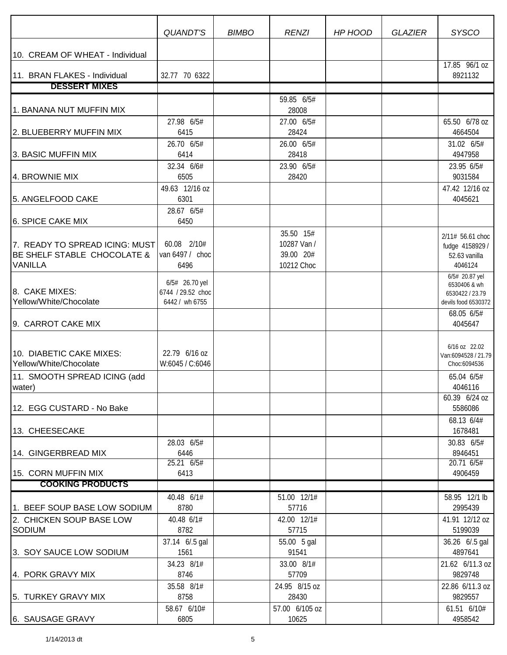|                                                                                 | <b>QUANDT'S</b>                                       | <b>BIMBO</b> | <b>RENZI</b>                                        | HP HOOD | <b>GLAZIER</b> | <b>SYSCO</b>                                                    |
|---------------------------------------------------------------------------------|-------------------------------------------------------|--------------|-----------------------------------------------------|---------|----------------|-----------------------------------------------------------------|
| 10. CREAM OF WHEAT - Individual                                                 |                                                       |              |                                                     |         |                |                                                                 |
| 11. BRAN FLAKES - Individual                                                    | 32.77 70 6322                                         |              |                                                     |         |                | 17.85 96/1 oz<br>8921132                                        |
| <b>DESSERT MIXES</b>                                                            |                                                       |              |                                                     |         |                |                                                                 |
|                                                                                 |                                                       |              | 59.85 6/5#                                          |         |                |                                                                 |
| 1. BANANA NUT MUFFIN MIX                                                        |                                                       |              | 28008                                               |         |                |                                                                 |
| 2. BLUEBERRY MUFFIN MIX                                                         | 27.98 6/5#<br>6415                                    |              | 27.00 6/5#<br>28424                                 |         |                | 65.50 6/78 oz<br>4664504                                        |
|                                                                                 | 26.70 6/5#                                            |              | 26.00 6/5#                                          |         |                | 31.02 6/5#                                                      |
| 3. BASIC MUFFIN MIX                                                             | 6414                                                  |              | 28418                                               |         |                | 4947958                                                         |
|                                                                                 | 32.34 6/6#                                            |              | 23.90 6/5#                                          |         |                | 23.95 6/5#                                                      |
| 4. BROWNIE MIX                                                                  | 6505                                                  |              | 28420                                               |         |                | 9031584                                                         |
|                                                                                 | 49.63 12/16 oz                                        |              |                                                     |         |                | 47.42 12/16 oz                                                  |
| 5. ANGELFOOD CAKE                                                               | 6301                                                  |              |                                                     |         |                | 4045621                                                         |
|                                                                                 | 28.67 6/5#                                            |              |                                                     |         |                |                                                                 |
| 6. SPICE CAKE MIX                                                               | 6450                                                  |              |                                                     |         |                |                                                                 |
| 7. READY TO SPREAD ICING: MUST<br>BE SHELF STABLE CHOCOLATE &<br><b>VANILLA</b> | 60.08 2/10#<br>van 6497 / choc<br>6496                |              | 35.50 15#<br>10287 Van /<br>39.00 20#<br>10212 Choc |         |                | 2/11# 56.61 choc<br>fudge 4158929 /<br>52.63 vanilla<br>4046124 |
|                                                                                 |                                                       |              |                                                     |         |                | 6/5# 20.87 yel                                                  |
| 8. CAKE MIXES:<br>Yellow/White/Chocolate                                        | 6/5# 26.70 yel<br>6744 / 29.52 choc<br>6442 / wh 6755 |              |                                                     |         |                | 6530406 & wh<br>6530422 / 23.79<br>devils food 6530372          |
|                                                                                 |                                                       |              |                                                     |         |                | 68.05 6/5#                                                      |
| 9. CARROT CAKE MIX                                                              |                                                       |              |                                                     |         |                | 4045647                                                         |
|                                                                                 |                                                       |              |                                                     |         |                |                                                                 |
| 10. DIABETIC CAKE MIXES:<br>Yellow/White/Chocolate                              | 22.79 6/16 oz<br>W:6045 / C:6046                      |              |                                                     |         |                | 6/16 oz 22.02<br>Van:6094528 / 21.79<br>Choc:6094536            |
| 11. SMOOTH SPREAD ICING (add                                                    |                                                       |              |                                                     |         |                | 65.04 6/5#                                                      |
| water)                                                                          |                                                       |              |                                                     |         |                | 4046116                                                         |
|                                                                                 |                                                       |              |                                                     |         |                | 60.39 6/24 oz                                                   |
| 12. EGG CUSTARD - No Bake                                                       |                                                       |              |                                                     |         |                | 5586086                                                         |
|                                                                                 |                                                       |              |                                                     |         |                | 68.13 6/4#                                                      |
| 13. CHEESECAKE                                                                  |                                                       |              |                                                     |         |                | 1678481                                                         |
|                                                                                 | 28.03 6/5#                                            |              |                                                     |         |                | 30.83 6/5#                                                      |
| 14. GINGERBREAD MIX                                                             | 6446                                                  |              |                                                     |         |                | 8946451                                                         |
|                                                                                 | $25.21$ $6/5#$                                        |              |                                                     |         |                | 20.71 6/5#                                                      |
| 15. CORN MUFFIN MIX                                                             | 6413                                                  |              |                                                     |         |                | 4906459                                                         |
| <b>COOKING PRODUCTS</b>                                                         |                                                       |              |                                                     |         |                |                                                                 |
|                                                                                 | 40.48 6/1#                                            |              | 51.00 12/1#                                         |         |                | 58.95 12/1 lb                                                   |
| 1. BEEF SOUP BASE LOW SODIUM                                                    | 8780                                                  |              | 57716                                               |         |                | 2995439                                                         |
| 2. CHICKEN SOUP BASE LOW                                                        | 40.48 6/1#                                            |              | 42.00 12/1#                                         |         |                | 41.91 12/12 oz                                                  |
| SODIUM                                                                          | 8782                                                  |              | 57715                                               |         |                | 5199039                                                         |
| 3. SOY SAUCE LOW SODIUM                                                         | 37.14 6/.5 gal<br>1561                                |              | 55.00 5 gal<br>91541                                |         |                | 36.26 6/.5 gal<br>4897641                                       |
|                                                                                 | 34.23 8/1#                                            |              | 33.00 8/1#                                          |         |                | 21.62 6/11.3 oz                                                 |
| 4. PORK GRAVY MIX                                                               | 8746                                                  |              | 57709                                               |         |                | 9829748                                                         |
| 5. TURKEY GRAVY MIX                                                             | 35.58 8/1#<br>8758                                    |              | 24.95 8/15 oz<br>28430                              |         |                | 22.86 6/11.3 oz<br>9829557                                      |
|                                                                                 | 58.67 6/10#                                           |              | 57.00 6/105 oz                                      |         |                | 61.51 6/10#                                                     |
| 6. SAUSAGE GRAVY                                                                | 6805                                                  |              | 10625                                               |         |                | 4958542                                                         |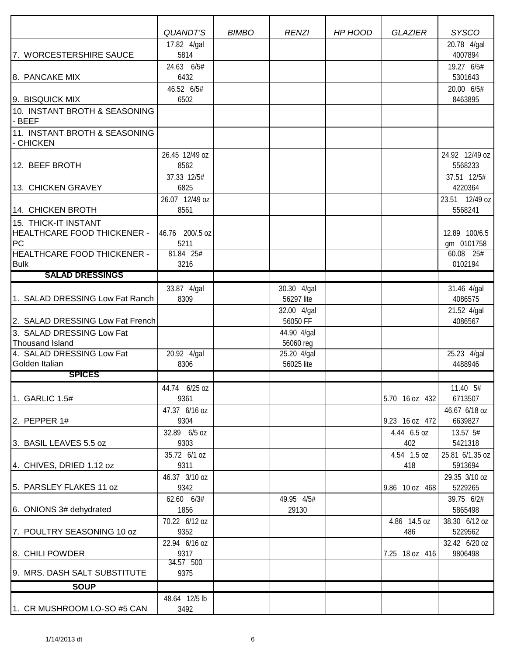|                                            | QUANDT'S                | <b>BIMBO</b> | <b>RENZI</b>            | HP HOOD | <b>GLAZIER</b>      | <b>SYSCO</b>                |
|--------------------------------------------|-------------------------|--------------|-------------------------|---------|---------------------|-----------------------------|
| 7. WORCESTERSHIRE SAUCE                    | 17.82 4/gal<br>5814     |              |                         |         |                     | 20.78 4/gal<br>4007894      |
|                                            | 24.63 6/5#              |              |                         |         |                     | 19.27 6/5#                  |
| 8. PANCAKE MIX                             | 6432                    |              |                         |         |                     | 5301643                     |
|                                            | 46.52 6/5#              |              |                         |         |                     | 20.00 6/5#                  |
| 9. BISQUICK MIX                            | 6502                    |              |                         |         |                     | 8463895                     |
| 10. INSTANT BROTH & SEASONING<br>- BEEF    |                         |              |                         |         |                     |                             |
| 11. INSTANT BROTH & SEASONING<br>- CHICKEN |                         |              |                         |         |                     |                             |
| 12. BEEF BROTH                             | 26.45 12/49 oz<br>8562  |              |                         |         |                     | 24.92 12/49 oz<br>5568233   |
|                                            | 37.33 12/5#             |              |                         |         |                     | 37.51 12/5#                 |
| 13. CHICKEN GRAVEY                         | 6825                    |              |                         |         |                     | 4220364                     |
| 14. CHICKEN BROTH                          | 26.07 12/49 oz<br>8561  |              |                         |         |                     | 23.51 12/49 oz<br>5568241   |
| 15. THICK-IT INSTANT                       |                         |              |                         |         |                     |                             |
| <b>HEALTHCARE FOOD THICKENER -</b><br>PC   | 46.76 200/.5 oz<br>5211 |              |                         |         |                     | 12.89 100/6.5<br>gm 0101758 |
| <b>HEALTHCARE FOOD THICKENER -</b>         | 81.84 25#               |              |                         |         |                     | 60.08 25#                   |
| <b>Bulk</b>                                | 3216                    |              |                         |         |                     | 0102194                     |
| <b>SALAD DRESSINGS</b>                     |                         |              |                         |         |                     |                             |
|                                            | 33.87 4/gal             |              | 30.30 4/gal             |         |                     | 31.46 4/gal                 |
| 1. SALAD DRESSING Low Fat Ranch            | 8309                    |              | 56297 lite              |         |                     | 4086575                     |
| 2. SALAD DRESSING Low Fat French           |                         |              | 32.00 4/gal<br>56050 FF |         |                     | 21.52 4/gal<br>4086567      |
| 3. SALAD DRESSING Low Fat                  |                         |              | 44.90 4/gal             |         |                     |                             |
| <b>Thousand Island</b>                     |                         |              | 56060 reg               |         |                     |                             |
| 4. SALAD DRESSING Low Fat                  | 20.92 4/gal             |              | 25.20 4/gal             |         |                     | 25.23 4/gal                 |
| Golden Italian                             | 8306                    |              | 56025 lite              |         |                     | 4488946                     |
| <b>SPICES</b>                              |                         |              |                         |         |                     |                             |
| 1. GARLIC 1.5#                             | 44.74 6/25 oz<br>9361   |              |                         |         | 5.70 16 oz 432      | 11.40 5#<br>6713507         |
|                                            | 47.37 6/16 oz           |              |                         |         |                     | 46.67 6/18 oz               |
| 2. PEPPER 1#                               | 9304                    |              |                         |         | 9.23 16 oz 472      | 6639827                     |
|                                            | 32.89 6/5 oz            |              |                         |         | 4.44 6.5 oz         | 13.57 5#                    |
| 3. BASIL LEAVES 5.5 oz                     | 9303                    |              |                         |         | 402                 | 5421318                     |
| 4. CHIVES, DRIED 1.12 oz                   | 35.72 6/1 oz<br>9311    |              |                         |         | 4.54 1.5 oz<br>418  | 25.81 6/1.35 oz<br>5913694  |
|                                            | 46.37 3/10 oz           |              |                         |         |                     | 29.35 3/10 oz               |
| 5. PARSLEY FLAKES 11 oz                    | 9342                    |              |                         |         | 9.86 10 oz 468      | 5229265                     |
| 6. ONIONS 3# dehydrated                    | 62.60 6/3#<br>1856      |              | 49.95 4/5#<br>29130     |         |                     | 39.75 6/2#<br>5865498       |
| 7. POULTRY SEASONING 10 oz                 | 70.22 6/12 oz<br>9352   |              |                         |         | 4.86 14.5 oz<br>486 | 38.30 6/12 oz<br>5229562    |
|                                            | 22.94 6/16 oz           |              |                         |         |                     | 32.42 6/20 oz               |
| 8. CHILI POWDER                            | 9317<br>34.57 500       |              |                         |         | 7.25 18 oz 416      | 9806498                     |
| 9. MRS. DASH SALT SUBSTITUTE               | 9375                    |              |                         |         |                     |                             |
| <b>SOUP</b>                                |                         |              |                         |         |                     |                             |
|                                            | 48.64 12/5 lb           |              |                         |         |                     |                             |
| 1. CR MUSHROOM LO-SO #5 CAN                | 3492                    |              |                         |         |                     |                             |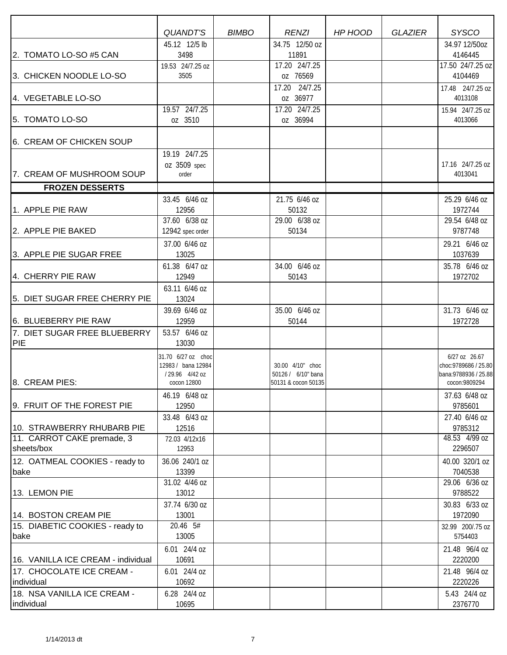|                                          | <b>QUANDT'S</b><br>45.12 12/5 lb     | <b>BIMBO</b> | <b>RENZI</b><br>34.75 12/50 oz         | HP HOOD | <b>GLAZIER</b> | <b>SYSCO</b>                                   |
|------------------------------------------|--------------------------------------|--------------|----------------------------------------|---------|----------------|------------------------------------------------|
| 2. TOMATO LO-SO #5 CAN                   | 3498                                 |              | 11891                                  |         |                | 34.97 12/50oz<br>4146445                       |
|                                          | 19.53 24/7.25 oz                     |              | 17.20 24/7.25                          |         |                | 17.50 24/7.25 oz                               |
| 3. CHICKEN NOODLE LO-SO                  | 3505                                 |              | oz 76569                               |         |                | 4104469                                        |
|                                          |                                      |              | 17.20 24/7.25                          |         |                | 17.48 24/7.25 oz                               |
| 4. VEGETABLE LO-SO                       |                                      |              | oz 36977                               |         |                | 4013108                                        |
|                                          | 19.57 24/7.25                        |              | 17.20 24/7.25                          |         |                | 15.94 24/7.25 oz                               |
| 5. TOMATO LO-SO                          | oz 3510                              |              | oz 36994                               |         |                | 4013066                                        |
| 6. CREAM OF CHICKEN SOUP                 |                                      |              |                                        |         |                |                                                |
|                                          | 19.19 24/7.25                        |              |                                        |         |                |                                                |
|                                          | 0Z 3509 spec                         |              |                                        |         |                | 17.16 24/7.25 oz                               |
| 7. CREAM OF MUSHROOM SOUP                | order                                |              |                                        |         |                | 4013041                                        |
| <b>FROZEN DESSERTS</b>                   |                                      |              |                                        |         |                |                                                |
|                                          | 33.45 6/46 oz                        |              | 21.75 6/46 oz                          |         |                | 25.29 6/46 oz                                  |
| 1. APPLE PIE RAW                         | 12956                                |              | 50132                                  |         |                | 1972744                                        |
|                                          | 37.60 6/38 oz                        |              | 29.00 6/38 oz                          |         |                | 29.54 6/48 oz                                  |
| 2. APPLE PIE BAKED                       | 12942 spec order                     |              | 50134                                  |         |                | 9787748                                        |
| 3. APPLE PIE SUGAR FREE                  | 37.00 6/46 oz<br>13025               |              |                                        |         |                | 29.21 6/46 oz<br>1037639                       |
|                                          | 61.38 6/47 oz                        |              | 34.00 6/46 oz                          |         |                | 35.78 6/46 oz                                  |
| 4. CHERRY PIE RAW                        | 12949                                |              | 50143                                  |         |                | 1972702                                        |
|                                          | 63.11 6/46 oz                        |              |                                        |         |                |                                                |
| 5. DIET SUGAR FREE CHERRY PIE            | 13024                                |              |                                        |         |                |                                                |
|                                          | 39.69 6/46 oz                        |              | 35.00 6/46 oz                          |         |                | 31.73 6/46 oz                                  |
| 6. BLUEBERRY PIE RAW                     | 12959                                |              | 50144                                  |         |                | 1972728                                        |
| 7. DIET SUGAR FREE BLUEBERRY             | 53.57 6/46 oz                        |              |                                        |         |                |                                                |
| PIE                                      | 13030                                |              |                                        |         |                |                                                |
|                                          | 31.70 6/27 oz choc                   |              |                                        |         |                | 6/27 oz 26.67                                  |
|                                          | 12983 / bana 12984<br>/29.96 4/42 oz |              | 30.00 4/10" choc<br>50126 / 6/10" bana |         |                | choc: 9789686 / 25.80<br>bana: 9788936 / 25.88 |
| 8. CREAM PIES:                           | cocon 12800                          |              | 50131 & cocon 50135                    |         |                | cocon:9809294                                  |
|                                          | 46.19 6/48 oz                        |              |                                        |         |                | 37.63 6/48 oz                                  |
| 9. FRUIT OF THE FOREST PIE               | 12950                                |              |                                        |         |                | 9785601                                        |
|                                          | 33.48 6/43 oz                        |              |                                        |         |                | 27.40 6/46 oz                                  |
| 10. STRAWBERRY RHUBARB PIE               | 12516                                |              |                                        |         |                | 9785312                                        |
| 11. CARROT CAKE premade, 3<br>sheets/box | 72.03 4/12x16<br>12953               |              |                                        |         |                | 48.53 4/99 oz<br>2296507                       |
|                                          |                                      |              |                                        |         |                |                                                |
| 12. OATMEAL COOKIES - ready to<br>bake   | 36.06 240/1 oz<br>13399              |              |                                        |         |                | 40.00 320/1 oz<br>7040538                      |
|                                          | 31.02 4/46 oz                        |              |                                        |         |                | 29.06 6/36 oz                                  |
| 13. LEMON PIE                            | 13012                                |              |                                        |         |                | 9788522                                        |
|                                          | 37.74 6/30 oz                        |              |                                        |         |                | 30.83 6/33 oz                                  |
| 14. BOSTON CREAM PIE                     | 13001                                |              |                                        |         |                | 1972090                                        |
| 15. DIABETIC COOKIES - ready to          | 20.46 5#                             |              |                                        |         |                | 32.99 200/.75 oz                               |
| bake                                     | 13005                                |              |                                        |         |                | 5754403                                        |
|                                          | 6.01 24/4 oz                         |              |                                        |         |                | 21.48 96/4 oz                                  |
| 16. VANILLA ICE CREAM - individual       | 10691                                |              |                                        |         |                | 2220200                                        |
| 17. CHOCOLATE ICE CREAM -<br>individual  | 6.01 24/4 oz<br>10692                |              |                                        |         |                | 21.48 96/4 oz<br>2220226                       |
| 18. NSA VANILLA ICE CREAM -              | 6.28 24/4 oz                         |              |                                        |         |                | 5.43 24/4 oz                                   |
| individual                               | 10695                                |              |                                        |         |                | 2376770                                        |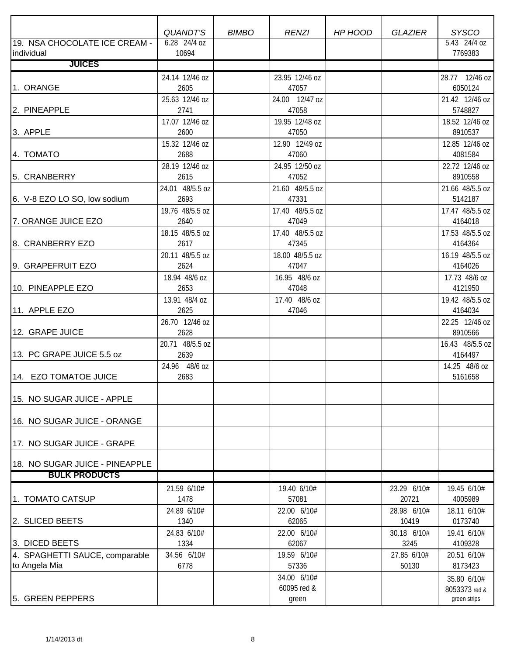|                                | <b>QUANDT'S</b>       | <b>BIMBO</b> | <b>RENZI</b>           | HP HOOD | <b>GLAZIER</b> | <b>SYSCO</b>             |
|--------------------------------|-----------------------|--------------|------------------------|---------|----------------|--------------------------|
| 19. NSA CHOCOLATE ICE CREAM -  | 6.28 24/4 oz          |              |                        |         |                | 5.43 24/4 oz             |
| individual                     | 10694                 |              |                        |         |                | 7769383                  |
| <b>JUICES</b>                  |                       |              |                        |         |                |                          |
|                                | 24.14 12/46 oz        |              | 23.95 12/46 oz         |         |                | 28.77 12/46 oz           |
| 1. ORANGE                      | 2605                  |              | 47057                  |         |                | 6050124                  |
|                                | 25.63 12/46 oz        |              | 24.00 12/47 oz         |         |                | 21.42 12/46 oz           |
| 2. PINEAPPLE                   | 2741                  |              | 47058                  |         |                | 5748827                  |
|                                | 17.07 12/46 oz        |              | 19.95 12/48 oz         |         |                | 18.52 12/46 oz           |
| 3. APPLE                       | 2600                  |              | 47050                  |         |                | 8910537                  |
|                                | 15.32 12/46 oz        |              | 12.90 12/49 oz         |         |                | 12.85 12/46 oz           |
| 4. TOMATO                      | 2688                  |              | 47060                  |         |                | 4081584                  |
|                                | 28.19 12/46 oz        |              | 24.95 12/50 oz         |         |                | 22.72 12/46 oz           |
| 5. CRANBERRY                   | 2615                  |              | 47052                  |         |                | 8910558                  |
|                                | 24.01 48/5.5 oz       |              | 21.60 48/5.5 oz        |         |                | 21.66 48/5.5 oz          |
| 6. V-8 EZO LO SO, low sodium   | 2693                  |              | 47331                  |         |                | 5142187                  |
|                                | 19.76 48/5.5 oz       |              | 17.40 48/5.5 oz        |         |                | 17.47 48/5.5 oz          |
| 7. ORANGE JUICE EZO            | 2640                  |              | 47049                  |         |                | 4164018                  |
|                                | 18.15 48/5.5 oz       |              | 17.40 48/5.5 oz        |         |                | 17.53 48/5.5 oz          |
| 8. CRANBERRY EZO               | 2617                  |              | 47345                  |         |                | 4164364                  |
|                                | 20.11 48/5.5 oz       |              | 18.00 48/5.5 oz        |         |                | 16.19 48/5.5 oz          |
| 9. GRAPEFRUIT EZO              | 2624                  |              | 47047                  |         |                | 4164026                  |
| 10. PINEAPPLE EZO              | 18.94 48/6 oz<br>2653 |              | 16.95 48/6 oz<br>47048 |         |                | 17.73 48/6 oz<br>4121950 |
|                                | 13.91 48/4 oz         |              | 17.40 48/6 oz          |         |                | 19.42 48/5.5 oz          |
| 11. APPLE EZO                  | 2625                  |              | 47046                  |         |                | 4164034                  |
|                                | 26.70 12/46 oz        |              |                        |         |                | 22.25 12/46 oz           |
| 12. GRAPE JUICE                | 2628                  |              |                        |         |                | 8910566                  |
|                                | 20.71 48/5.5 oz       |              |                        |         |                | 16.43 48/5.5 oz          |
| 13. PC GRAPE JUICE 5.5 oz      | 2639                  |              |                        |         |                | 4164497                  |
|                                | 24.96 48/6 oz         |              |                        |         |                | 14.25 48/6 oz            |
| 14. EZO TOMATOE JUICE          | 2683                  |              |                        |         |                | 5161658                  |
|                                |                       |              |                        |         |                |                          |
| 15. NO SUGAR JUICE - APPLE     |                       |              |                        |         |                |                          |
|                                |                       |              |                        |         |                |                          |
| 16. NO SUGAR JUICE - ORANGE    |                       |              |                        |         |                |                          |
|                                |                       |              |                        |         |                |                          |
| 17. NO SUGAR JUICE - GRAPE     |                       |              |                        |         |                |                          |
|                                |                       |              |                        |         |                |                          |
| 18. NO SUGAR JUICE - PINEAPPLE |                       |              |                        |         |                |                          |
| <b>BULK PRODUCTS</b>           |                       |              |                        |         |                |                          |
|                                | 21.59 6/10#           |              | 19.40 6/10#            |         | 23.29 6/10#    | 19.45 6/10#              |
| 1. TOMATO CATSUP               | 1478                  |              | 57081                  |         | 20721          | 4005989                  |
|                                | 24.89 6/10#           |              | 22.00 6/10#            |         | 28.98 6/10#    | 18.11 6/10#              |
| 2. SLICED BEETS                | 1340                  |              | 62065                  |         | 10419          | 0173740                  |
|                                | 24.83 6/10#           |              | 22.00 6/10#            |         | 30.18 6/10#    | 19.41 6/10#              |
| 3. DICED BEETS                 | 1334                  |              | 62067                  |         | 3245           | 4109328                  |
| 4. SPAGHETTI SAUCE, comparable | 34.56 6/10#           |              | 19.59 6/10#            |         | 27.85 6/10#    | 20.51 6/10#              |
| to Angela Mia                  | 6778                  |              | 57336                  |         | 50130          | 8173423                  |
|                                |                       |              | 34.00 6/10#            |         |                | 35.80 6/10#              |
| 5. GREEN PEPPERS               |                       |              | 60095 red &            |         |                | 8053373 red &            |
|                                |                       |              | green                  |         |                | green strips             |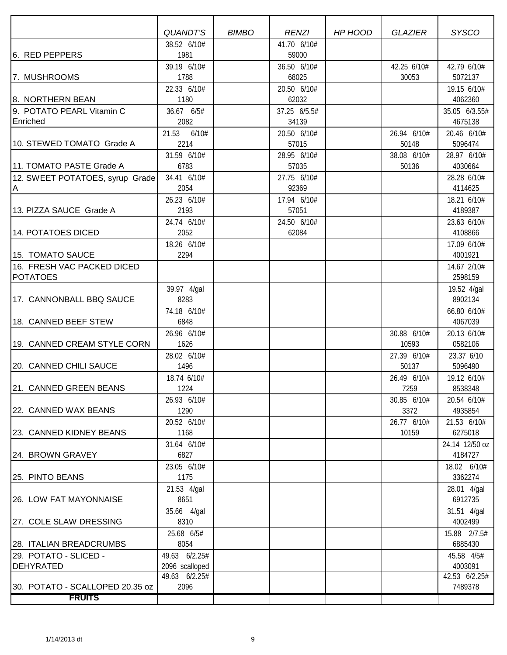|                                    | QUANDT'S                        | <b>BIMBO</b> | <b>RENZI</b> | HP HOOD | <b>GLAZIER</b> | <b>SYSCO</b>          |
|------------------------------------|---------------------------------|--------------|--------------|---------|----------------|-----------------------|
|                                    | 38.52 6/10#                     |              | 41.70 6/10#  |         |                |                       |
| 6. RED PEPPERS                     | 1981                            |              | 59000        |         |                |                       |
|                                    | 39.19 6/10#                     |              | 36.50 6/10#  |         | 42.25 6/10#    | 42.79 6/10#           |
| 7. MUSHROOMS                       | 1788                            |              | 68025        |         | 30053          | 5072137               |
|                                    | 22.33 6/10#                     |              | 20.50 6/10#  |         |                | 19.15 6/10#           |
| 8. NORTHERN BEAN                   | 1180                            |              | 62032        |         |                | 4062360               |
| 9. POTATO PEARL Vitamin C          | 36.67 6/5#                      |              | 37.25 6/5.5# |         |                | 35.05 6/3.55#         |
| Enriched                           | 2082                            |              | 34139        |         |                | 4675138               |
|                                    | 21.53 6/10#                     |              | 20.50 6/10#  |         | 26.94 6/10#    | 20.46 6/10#           |
| 10. STEWED TOMATO Grade A          | 2214                            |              | 57015        |         | 50148          | 5096474               |
|                                    | 31.59 6/10#                     |              | 28.95 6/10#  |         | 38.08 6/10#    | 28.97 6/10#           |
| 11. TOMATO PASTE Grade A           | 6783                            |              | 57035        |         | 50136          | 4030664               |
| 12. SWEET POTATOES, syrup Grade    | 34.41 6/10#                     |              | 27.75 6/10#  |         |                | 28.28 6/10#           |
| ΙA                                 | 2054                            |              | 92369        |         |                | 4114625               |
|                                    | 26.23 6/10#                     |              | 17.94 6/10#  |         |                | 18.21 6/10#           |
| 13. PIZZA SAUCE Grade A            | 2193                            |              | 57051        |         |                | 4189387               |
|                                    | 24.74 6/10#                     |              | 24.50 6/10#  |         |                | 23.63 6/10#           |
| 14. POTATOES DICED                 | 2052                            |              | 62084        |         |                | 4108866               |
|                                    | 18.26 6/10#                     |              |              |         |                | 17.09 6/10#           |
| 15. TOMATO SAUCE                   | 2294                            |              |              |         |                | 4001921               |
| 16. FRESH VAC PACKED DICED         |                                 |              |              |         |                | 14.67 2/10#           |
| <b>POTATOES</b>                    |                                 |              |              |         |                | 2598159               |
|                                    | 39.97 4/gal                     |              |              |         |                | 19.52 4/gal           |
| 17. CANNONBALL BBQ SAUCE           | 8283                            |              |              |         |                | 8902134               |
|                                    | 74.18 6/10#                     |              |              |         |                | 66.80 6/10#           |
| 18. CANNED BEEF STEW               | 6848                            |              |              |         |                | 4067039               |
|                                    | 26.96 6/10#                     |              |              |         | 30.88 6/10#    | 20.13 6/10#           |
| 19. CANNED CREAM STYLE CORN        | 1626                            |              |              |         | 10593          | 0582106               |
|                                    | 28.02 6/10#                     |              |              |         | 27.39 6/10#    | 23.37 6/10            |
| 20. CANNED CHILI SAUCE             | 1496                            |              |              |         | 50137          | 5096490               |
|                                    | 18.74 6/10#                     |              |              |         | 26.49 6/10#    | 19.12 6/10#           |
| 21. CANNED GREEN BEANS             | 1224                            |              |              |         | 7259           | 8538348               |
|                                    | 26.93 6/10#                     |              |              |         | 30.85 6/10#    | 20.54 6/10#           |
| 22. CANNED WAX BEANS               | 1290                            |              |              |         | 3372           | 4935854               |
|                                    | 20.52 6/10#                     |              |              |         | 26.77 6/10#    | 21.53 6/10#           |
| 23. CANNED KIDNEY BEANS            | 1168                            |              |              |         | 10159          | 6275018               |
|                                    | 31.64 6/10#                     |              |              |         |                | 24.14 12/50 oz        |
| 24. BROWN GRAVEY                   | 6827                            |              |              |         |                | 4184727               |
|                                    | 23.05 6/10#                     |              |              |         |                | 18.02 6/10#           |
| 25. PINTO BEANS                    | 1175                            |              |              |         |                | 3362274               |
|                                    | 21.53 4/gal                     |              |              |         |                | 28.01 4/gal           |
| 26. LOW FAT MAYONNAISE             | 8651                            |              |              |         |                | 6912735               |
|                                    | 35.66 4/gal                     |              |              |         |                | 31.51 4/gal           |
| 27. COLE SLAW DRESSING             | 8310                            |              |              |         |                | 4002499               |
|                                    | 25.68 6/5#                      |              |              |         |                | 15.88 2/7.5#          |
| 28. ITALIAN BREADCRUMBS            | 8054                            |              |              |         |                | 6885430               |
| 29. POTATO - SLICED -<br>DEHYRATED | 49.63 6/2.25#<br>2096 scalloped |              |              |         |                | 45.58 4/5#<br>4003091 |
|                                    | 49.63 6/2.25#                   |              |              |         |                | 42.53 6/2.25#         |
| 30. POTATO - SCALLOPED 20.35 oz    | 2096                            |              |              |         |                | 7489378               |
| <b>FRUITS</b>                      |                                 |              |              |         |                |                       |
|                                    |                                 |              |              |         |                |                       |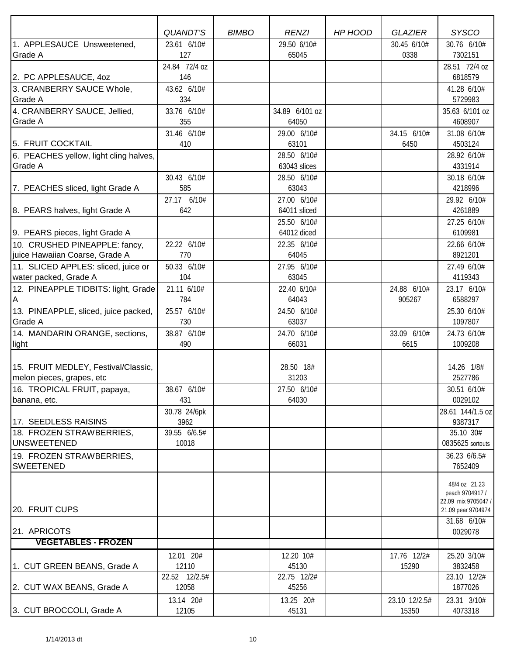|                                                | <b>QUANDT'S</b>      | <b>BIMBO</b> | <b>RENZI</b>            | HP HOOD | <b>GLAZIER</b> | <b>SYSCO</b>                           |
|------------------------------------------------|----------------------|--------------|-------------------------|---------|----------------|----------------------------------------|
| 1. APPLESAUCE Unsweetened,                     | 23.61 6/10#          |              | 29.50 6/10#             |         | 30.45 6/10#    | 30.76 6/10#                            |
| Grade A                                        | 127                  |              | 65045                   |         | 0338           | 7302151                                |
|                                                | 24.84 72/4 oz        |              |                         |         |                | 28.51 72/4 oz                          |
| 2. PC APPLESAUCE, 40Z                          | 146                  |              |                         |         |                | 6818579                                |
| 3. CRANBERRY SAUCE Whole,                      | 43.62 6/10#          |              |                         |         |                | 41.28 6/10#                            |
| <b>Grade A</b>                                 | 334                  |              |                         |         |                | 5729983                                |
| 4. CRANBERRY SAUCE, Jellied,<br><b>Grade A</b> | 33.76 6/10#<br>355   |              | 34.89 6/101 oz<br>64050 |         |                | 35.63 6/101 oz<br>4608907              |
|                                                | 31.46 6/10#          |              | 29.00 6/10#             |         | 34.15 6/10#    | 31.08 6/10#                            |
| 5. FRUIT COCKTAIL                              | 410                  |              | 63101                   |         | 6450           | 4503124                                |
| 6. PEACHES yellow, light cling halves,         |                      |              | 28.50 6/10#             |         |                | 28.92 6/10#                            |
| <b>Grade A</b>                                 |                      |              | 63043 slices            |         |                | 4331914                                |
|                                                | 30.43 6/10#          |              | 28.50 6/10#             |         |                | 30.18 6/10#                            |
| 7. PEACHES sliced, light Grade A               | 585                  |              | 63043                   |         |                | 4218996                                |
|                                                | 27.17 6/10#          |              | 27.00 6/10#             |         |                | 29.92 6/10#                            |
| 8. PEARS halves, light Grade A                 | 642                  |              | 64011 sliced            |         |                | 4261889                                |
|                                                |                      |              | 25.50 6/10#             |         |                | 27.25 6/10#                            |
| 9. PEARS pieces, light Grade A                 |                      |              | 64012 diced             |         |                | 6109981                                |
| 10. CRUSHED PINEAPPLE: fancy,                  | 22.22 6/10#          |              | 22.35 6/10#             |         |                | 22.66 6/10#                            |
| juice Hawaiian Coarse, Grade A                 | 770                  |              | 64045                   |         |                | 8921201                                |
| 11. SLICED APPLES: sliced, juice or            | 50.33 6/10#          |              | 27.95 6/10#             |         |                | 27.49 6/10#                            |
| water packed, Grade A                          | 104                  |              | 63045                   |         |                | 4119343                                |
| 12. PINEAPPLE TIDBITS: light, Grade            | 21.11 6/10#          |              | 22.40 6/10#             |         | 24.88 6/10#    | 23.17 6/10#                            |
| ΙA                                             | 784                  |              | 64043                   |         | 905267         | 6588297                                |
| 13. PINEAPPLE, sliced, juice packed,           | 25.57 6/10#          |              | 24.50 6/10#             |         |                | 25.30 6/10#                            |
| Grade A                                        | 730                  |              | 63037                   |         |                | 1097807                                |
| 14. MANDARIN ORANGE, sections,                 | 38.87 6/10#          |              | 24.70 6/10#             |         | 33.09 6/10#    | 24.73 6/10#                            |
| light                                          | 490                  |              | 66031                   |         | 6615           | 1009208                                |
|                                                |                      |              |                         |         |                |                                        |
| 15. FRUIT MEDLEY, Festival/Classic,            |                      |              | 28.50 18#               |         |                | 14.26 1/8#                             |
| melon pieces, grapes, etc                      |                      |              | 31203                   |         |                | 2527786                                |
| 16. TROPICAL FRUIT, papaya,                    | 38.67 6/10#          |              | 27.50 6/10#             |         |                | 30.51 6/10#                            |
| banana, etc.                                   | 431                  |              | 64030                   |         |                | 0029102                                |
|                                                | 30.78 24/6pk         |              |                         |         |                | 28.61 144/1.5 oz                       |
| 17. SEEDLESS RAISINS                           | 3962<br>39.55 6/6.5# |              |                         |         |                | 9387317<br>35.10 30#                   |
| 18. FROZEN STRAWBERRIES,<br><b>UNSWEETENED</b> | 10018                |              |                         |         |                | 0835625 sortouts                       |
| 19. FROZEN STRAWBERRIES,                       |                      |              |                         |         |                |                                        |
| SWEETENED                                      |                      |              |                         |         |                | 36.23 6/6.5#<br>7652409                |
|                                                |                      |              |                         |         |                |                                        |
|                                                |                      |              |                         |         |                | 48/4 oz 21.23                          |
|                                                |                      |              |                         |         |                | peach 9704917 /<br>22.09 mix 9705047 / |
| 20. FRUIT CUPS                                 |                      |              |                         |         |                | 21.09 pear 9704974                     |
|                                                |                      |              |                         |         |                | 31.68 6/10#                            |
| 21. APRICOTS                                   |                      |              |                         |         |                | 0029078                                |
| <b>VEGETABLES - FROZEN</b>                     |                      |              |                         |         |                |                                        |
|                                                | 12.01 20#            |              | 12.20 10#               |         | 17.76 12/2#    | 25.20 3/10#                            |
| 1. CUT GREEN BEANS, Grade A                    | 12110                |              | 45130                   |         | 15290          | 3832458                                |
|                                                | 22.52 12/2.5#        |              | 22.75 12/2#             |         |                | 23.10 12/2#                            |
| 2. CUT WAX BEANS, Grade A                      | 12058                |              | 45256                   |         |                | 1877026                                |
|                                                | 13.14 20#            |              | 13.25 20#               |         | 23.10 12/2.5#  | 23.31 3/10#                            |
| 3. CUT BROCCOLI, Grade A                       | 12105                |              | 45131                   |         | 15350          | 4073318                                |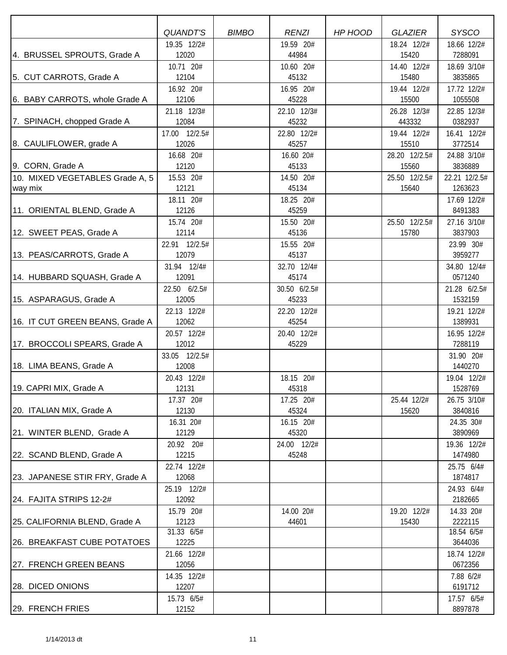|                                            | <b>QUANDT'S</b>    | <b>BIMBO</b> | <b>RENZI</b>       | HP HOOD | <b>GLAZIER</b>         | <b>SYSCO</b>             |
|--------------------------------------------|--------------------|--------------|--------------------|---------|------------------------|--------------------------|
|                                            | 19.35 12/2#        |              | 19.59 20#          |         | 18.24 12/2#            | 18.66 12/2#              |
| 4. BRUSSEL SPROUTS, Grade A                | 12020              |              | 44984              |         | 15420                  | 7288091                  |
|                                            | 10.71 20#          |              | 10.60 20#          |         | 14.40 12/2#            | 18.69 3/10#              |
| 5. CUT CARROTS, Grade A                    | 12104              |              | 45132              |         | 15480                  | 3835865                  |
|                                            | 16.92 20#          |              | 16.95 20#          |         | 19.44 12/2#            | 17.72 12/2#              |
| 6. BABY CARROTS, whole Grade A             | 12106              |              | 45228              |         | 15500                  | 1055508                  |
|                                            | 21.18 12/3#        |              | 22.10 12/3#        |         | 26.28 12/3#            | 22.85 12/3#              |
| 7. SPINACH, chopped Grade A                | 12084              |              | 45232              |         | 443332                 | 0382937                  |
|                                            | 17.00 12/2.5#      |              | 22.80 12/2#        |         | 19.44 12/2#            | 16.41 12/2#              |
| 8. CAULIFLOWER, grade A                    | 12026              |              | 45257              |         | 15510                  | 3772514                  |
|                                            | 16.68 20#<br>12120 |              | 16.60 20#<br>45133 |         | 28.20 12/2.5#<br>15560 | 24.88 3/10#<br>3836889   |
| 9. CORN, Grade A                           |                    |              |                    |         |                        |                          |
| 10. MIXED VEGETABLES Grade A, 5<br>way mix | 15.53 20#<br>12121 |              | 14.50 20#<br>45134 |         | 25.50 12/2.5#<br>15640 | 22.21 12/2.5#<br>1263623 |
|                                            | 18.11 20#          |              | 18.25 20#          |         |                        | 17.69 12/2#              |
| 11. ORIENTAL BLEND, Grade A                | 12126              |              | 45259              |         |                        | 8491383                  |
|                                            | 15.74 20#          |              | 15.50 20#          |         | 25.50 12/2.5#          | 27.16 3/10#              |
| 12. SWEET PEAS, Grade A                    | 12114              |              | 45136              |         | 15780                  | 3837903                  |
|                                            | 22.91 12/2.5#      |              | 15.55 20#          |         |                        | 23.99 30#                |
| 13. PEAS/CARROTS, Grade A                  | 12079              |              | 45137              |         |                        | 3959277                  |
|                                            | 31.94 12/4#        |              | 32.70 12/4#        |         |                        | 34.80 12/4#              |
| 14. HUBBARD SQUASH, Grade A                | 12091              |              | 45174              |         |                        | 0571240                  |
|                                            | 22.50 6/2.5#       |              | 30.50 6/2.5#       |         |                        | 21.28 6/2.5#             |
| 15. ASPARAGUS, Grade A                     | 12005              |              | 45233              |         |                        | 1532159                  |
|                                            | 22.13 12/2#        |              | 22.20 12/2#        |         |                        | 19.21 12/2#              |
| 16. IT CUT GREEN BEANS, Grade A            | 12062              |              | 45254              |         |                        | 1389931                  |
|                                            | 20.57 12/2#        |              | 20.40 12/2#        |         |                        | 16.95 12/2#              |
| 17. BROCCOLI SPEARS, Grade A               | 12012              |              | 45229              |         |                        | 7288119                  |
|                                            | 33.05 12/2.5#      |              |                    |         |                        | 31.90 20#                |
| 18. LIMA BEANS, Grade A                    | 12008              |              |                    |         |                        | 1440270                  |
|                                            | 20.43 12/2#        |              | 18.15 20#          |         |                        | 19.04 12/2#              |
| 19. CAPRI MIX, Grade A                     | 12131              |              | 45318              |         |                        | 1528769                  |
|                                            | 17.37 20#          |              | 17.25 20#          |         | 25.44 12/2#            | 26.75 3/10#              |
| 20. ITALIAN MIX, Grade A                   | 12130              |              | 45324              |         | 15620                  | 3840816                  |
|                                            | 16.31 20#          |              | 16.15 20#          |         |                        | 24.35 30#                |
| 21. WINTER BLEND, Grade A                  | 12129              |              | 45320              |         |                        | 3890969                  |
|                                            | 20.92 20#          |              | 24.00 12/2#        |         |                        | 19.36 12/2#              |
| 22. SCAND BLEND, Grade A                   | 12215              |              | 45248              |         |                        | 1474980                  |
|                                            | 22.74 12/2#        |              |                    |         |                        | 25.75 6/4#               |
| 23. JAPANESE STIR FRY, Grade A             | 12068              |              |                    |         |                        | 1874817                  |
|                                            | 25.19 12/2#        |              |                    |         |                        | 24.93 6/4#               |
| 24. FAJITA STRIPS 12-2#                    | 12092              |              |                    |         |                        | 2182665                  |
|                                            | 15.79 20#<br>12123 |              | 14.00 20#<br>44601 |         | 19.20 12/2#<br>15430   | 14.33 20#<br>2222115     |
| 25. CALIFORNIA BLEND, Grade A              | 31.33 6/5#         |              |                    |         |                        | 18.54 6/5#               |
| 26. BREAKFAST CUBE POTATOES                | 12225              |              |                    |         |                        | 3644036                  |
|                                            | 21.66 12/2#        |              |                    |         |                        | 18.74 12/2#              |
| 27. FRENCH GREEN BEANS                     | 12056              |              |                    |         |                        | 0672356                  |
|                                            | 14.35 12/2#        |              |                    |         |                        | 7.88 6/2#                |
| 28. DICED ONIONS                           | 12207              |              |                    |         |                        | 6191712                  |
|                                            | 15.73 6/5#         |              |                    |         |                        | 17.57 6/5#               |
| 29. FRENCH FRIES                           | 12152              |              |                    |         |                        | 8897878                  |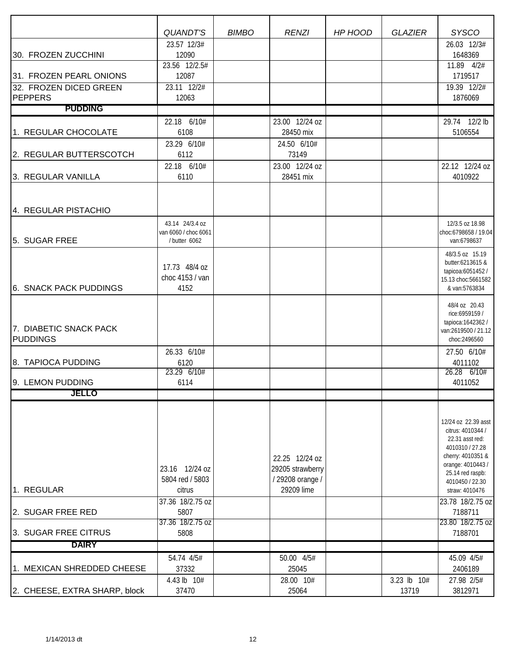|                               | <b>QUANDT'S</b>      | <b>BIMBO</b> | <b>RENZI</b>     | HP HOOD | <b>GLAZIER</b> | <b>SYSCO</b><br>26.03 12/3#              |
|-------------------------------|----------------------|--------------|------------------|---------|----------------|------------------------------------------|
| 30. FROZEN ZUCCHINI           | 23.57 12/3#<br>12090 |              |                  |         |                | 1648369                                  |
|                               | 23.56 12/2.5#        |              |                  |         |                | 11.89 4/2#                               |
| 31. FROZEN PEARL ONIONS       | 12087                |              |                  |         |                | 1719517                                  |
| 32. FROZEN DICED GREEN        | 23.11 12/2#          |              |                  |         |                | 19.39 12/2#                              |
| PEPPERS                       | 12063                |              |                  |         |                | 1876069                                  |
| <b>PUDDING</b>                |                      |              |                  |         |                |                                          |
|                               | 22.18 6/10#          |              | 23.00 12/24 oz   |         |                | 29.74 12/2 lb                            |
| 1. REGULAR CHOCOLATE          | 6108                 |              | 28450 mix        |         |                | 5106554                                  |
|                               | 23.29 6/10#          |              | 24.50 6/10#      |         |                |                                          |
| 2. REGULAR BUTTERSCOTCH       | 6112                 |              | 73149            |         |                |                                          |
|                               | 22.18 6/10#          |              | 23.00 12/24 oz   |         |                | 22.12 12/24 oz                           |
| 3. REGULAR VANILLA            | 6110                 |              | 28451 mix        |         |                | 4010922                                  |
|                               |                      |              |                  |         |                |                                          |
|                               |                      |              |                  |         |                |                                          |
| 4. REGULAR PISTACHIO          |                      |              |                  |         |                |                                          |
|                               | 43.14 24/3.4 oz      |              |                  |         |                | 12/3.5 oz 18.98                          |
|                               | van 6060 / choc 6061 |              |                  |         |                | choc:6798658 / 19.04                     |
| 5. SUGAR FREE                 | / butter 6062        |              |                  |         |                | van:6798637                              |
|                               |                      |              |                  |         |                | 48/3.5 oz 15.19                          |
|                               | 17.73 48/4 oz        |              |                  |         |                | butter:6213615 &<br>tapicoa:6051452/     |
|                               | choc 4153 / van      |              |                  |         |                | 15.13 choc:5661582                       |
| 6. SNACK PACK PUDDINGS        | 4152                 |              |                  |         |                | & van:5763834                            |
|                               |                      |              |                  |         |                | 48/4 oz 20.43                            |
|                               |                      |              |                  |         |                | rice:6959159 /                           |
| 7. DIABETIC SNACK PACK        |                      |              |                  |         |                | tapioca: 1642362 /                       |
| <b>PUDDINGS</b>               |                      |              |                  |         |                | van:2619500 / 21.12<br>choc:2496560      |
|                               |                      |              |                  |         |                |                                          |
| 8. TAPIOCA PUDDING            | 26.33 6/10#<br>6120  |              |                  |         |                | 27.50 6/10#<br>4011102                   |
|                               | 23.29 6/10#          |              |                  |         |                | 26.28 6/10#                              |
| 9. LEMON PUDDING              | 6114                 |              |                  |         |                | 4011052                                  |
| JELLO                         |                      |              |                  |         |                |                                          |
|                               |                      |              |                  |         |                |                                          |
|                               |                      |              |                  |         |                |                                          |
|                               |                      |              |                  |         |                | 12/24 oz 22.39 asst<br>citrus: 4010344 / |
|                               |                      |              |                  |         |                | 22.31 asst red:                          |
|                               |                      |              |                  |         |                | 4010310 / 27.28                          |
|                               |                      |              | 22.25 12/24 oz   |         |                | cherry: 4010351 &                        |
|                               | 23.16 12/24 oz       |              | 29205 strawberry |         |                | orange: 4010443 /<br>25.14 red raspb:    |
|                               | 5804 red / 5803      |              | / 29208 orange / |         |                | 4010450 / 22.30                          |
| 1. REGULAR                    | citrus               |              | 29209 lime       |         |                | straw: 4010476                           |
|                               | 37.36 18/2.75 oz     |              |                  |         |                | 23.78 18/2.75 oz                         |
| 2. SUGAR FREE RED             | 5807                 |              |                  |         |                | 7188711                                  |
| 3. SUGAR FREE CITRUS          | 37.36 18/2.75 oz     |              |                  |         |                | 23.80 18/2.75 oz                         |
|                               | 5808                 |              |                  |         |                | 7188701                                  |
| <b>DAIRY</b>                  |                      |              |                  |         |                |                                          |
|                               | 54.74 4/5#           |              | 50.00 4/5#       |         |                | 45.09 4/5#                               |
| 1. MEXICAN SHREDDED CHEESE    | 37332                |              | 25045            |         |                | 2406189                                  |
|                               | 4.43 lb 10#          |              | 28.00 10#        |         | 3.23 lb 10#    | 27.98 2/5#                               |
| 2. CHEESE, EXTRA SHARP, block | 37470                |              | 25064            |         | 13719          | 3812971                                  |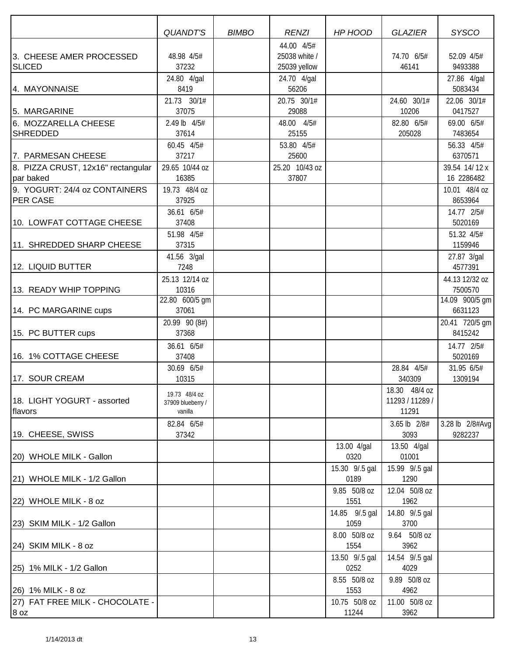|                                    | QUANDT'S          | <b>BIMBO</b> | <b>RENZI</b>   | HP HOOD              | <b>GLAZIER</b>  | <b>SYSCO</b>          |
|------------------------------------|-------------------|--------------|----------------|----------------------|-----------------|-----------------------|
|                                    |                   |              | 44.00 4/5#     |                      |                 |                       |
| 3. CHEESE AMER PROCESSED           | 48.98 4/5#        |              | 25038 white /  |                      | 74.70 6/5#      | 52.09 4/5#            |
| <b>SLICED</b>                      | 37232             |              | 25039 yellow   |                      | 46141           | 9493388               |
|                                    | 24.80 4/gal       |              | 24.70 4/gal    |                      |                 | 27.86 4/gal           |
| 4. MAYONNAISE                      | 8419              |              | 56206          |                      |                 | 5083434               |
|                                    | 21.73 30/1#       |              | 20.75 30/1#    |                      | 24.60 30/1#     | 22.06 30/1#           |
| 5. MARGARINE                       | 37075             |              | 29088          |                      | 10206           | 0417527               |
| 6. MOZZARELLA CHEESE               | 2.49 lb 4/5#      |              | 48.00 4/5#     |                      | 82.80 6/5#      | 69.00 6/5#            |
| <b>SHREDDED</b>                    | 37614             |              | 25155          |                      | 205028          | 7483654               |
|                                    | 60.45 4/5#        |              | 53.80 4/5#     |                      |                 |                       |
| 7. PARMESAN CHEESE                 | 37217             |              | 25600          |                      |                 | 56.33 4/5#<br>6370571 |
|                                    |                   |              |                |                      |                 |                       |
| 8. PIZZA CRUST, 12x16" rectangular | 29.65 10/44 oz    |              | 25.20 10/43 oz |                      |                 | 39.54 14/12 x         |
| par baked                          | 16385             |              | 37807          |                      |                 | 16 2286482            |
| 9. YOGURT: 24/4 oz CONTAINERS      | 19.73 48/4 oz     |              |                |                      |                 | 10.01 48/4 oz         |
| <b>PER CASE</b>                    | 37925             |              |                |                      |                 | 8653964               |
|                                    | 36.61 6/5#        |              |                |                      |                 | 14.77 2/5#            |
| 10. LOWFAT COTTAGE CHEESE          | 37408             |              |                |                      |                 | 5020169               |
|                                    | 51.98 4/5#        |              |                |                      |                 | 51.32 4/5#            |
| 11. SHREDDED SHARP CHEESE          | 37315             |              |                |                      |                 | 1159946               |
|                                    | 41.56 3/gal       |              |                |                      |                 | 27.87 3/gal           |
| 12. LIQUID BUTTER                  | 7248              |              |                |                      |                 | 4577391               |
|                                    | 25.13 12/14 oz    |              |                |                      |                 | 44.13 12/32 oz        |
| 13. READY WHIP TOPPING             | 10316             |              |                |                      |                 | 7500570               |
|                                    | 22.80 600/5 gm    |              |                |                      |                 | 14.09 900/5 gm        |
| 14. PC MARGARINE cups              | 37061             |              |                |                      |                 | 6631123               |
|                                    | 20.99 90 (8#)     |              |                |                      |                 | 20.41 720/5 gm        |
| 15. PC BUTTER cups                 | 37368             |              |                |                      |                 | 8415242               |
|                                    | 36.61 6/5#        |              |                |                      |                 | 14.77 2/5#            |
| 16. 1% COTTAGE CHEESE              | 37408             |              |                |                      |                 | 5020169               |
|                                    | 30.69 6/5#        |              |                |                      | 28.84 4/5#      | 31.95 6/5#            |
| 17. SOUR CREAM                     | 10315             |              |                |                      | 340309          | 1309194               |
|                                    | 19.73 48/4 oz     |              |                |                      | 18.30 48/4 oz   |                       |
| 18. LIGHT YOGURT - assorted        | 37909 blueberry / |              |                |                      | 11293 / 11289 / |                       |
| flavors                            | vanilla           |              |                |                      | 11291           |                       |
|                                    | 82.84 6/5#        |              |                |                      | 3.65 lb 2/8#    | 3.28 lb 2/8#Avg       |
| 19. CHEESE, SWISS                  | 37342             |              |                |                      | 3093            | 9282237               |
|                                    |                   |              |                | 13.00 4/gal          | 13.50 4/gal     |                       |
| 20) WHOLE MILK - Gallon            |                   |              |                | 0320                 | 01001           |                       |
|                                    |                   |              |                | 15.30 9/.5 gal       | 15.99 9/.5 gal  |                       |
| 21) WHOLE MILK - 1/2 Gallon        |                   |              |                | 0189                 | 1290            |                       |
|                                    |                   |              |                | 9.85 50/8 oz         | 12.04 50/8 oz   |                       |
| 22) WHOLE MILK - 8 oz              |                   |              |                | 1551                 | 1962            |                       |
|                                    |                   |              |                | 14.85 9/.5 gal       | 14.80 9/.5 gal  |                       |
| 23) SKIM MILK - 1/2 Gallon         |                   |              |                | 1059                 | 3700            |                       |
|                                    |                   |              |                | 8.00 50/8 oz         | 9.64 50/8 oz    |                       |
| 24) SKIM MILK - 8 oz               |                   |              |                | 1554                 | 3962            |                       |
|                                    |                   |              |                | 13.50 9/.5 gal       | 14.54 9/.5 gal  |                       |
| 25) 1% MILK - 1/2 Gallon           |                   |              |                | 0252                 | 4029            |                       |
|                                    |                   |              |                |                      | 9.89 50/8 oz    |                       |
| 26) 1% MILK - 8 oz                 |                   |              |                | 8.55 50/8 oz<br>1553 | 4962            |                       |
|                                    |                   |              |                |                      |                 |                       |
| 27) FAT FREE MILK - CHOCOLATE -    |                   |              |                | 10.75 50/8 oz        | 11.00 50/8 oz   |                       |
| 8 oz                               |                   |              |                | 11244                | 3962            |                       |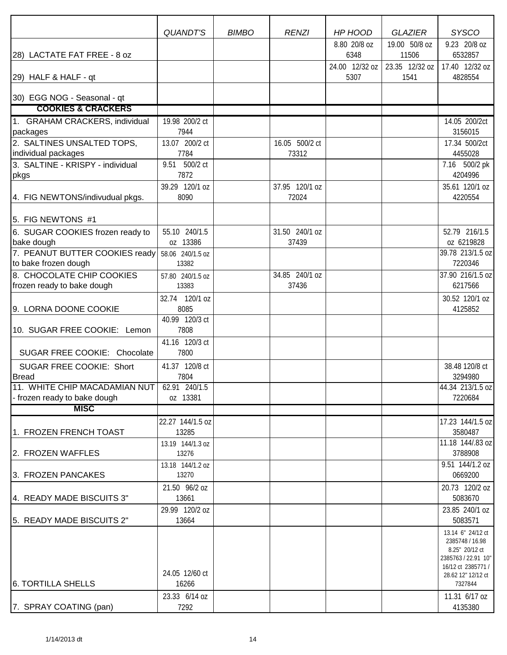|                                                                             | <b>QUANDT'S</b>  | <b>BIMBO</b> | <b>RENZI</b>   | HP HOOD        | <b>GLAZIER</b> | <b>SYSCO</b>                             |
|-----------------------------------------------------------------------------|------------------|--------------|----------------|----------------|----------------|------------------------------------------|
|                                                                             |                  |              |                | 8.80 20/8 oz   | 19.00 50/8 oz  | 9.23 20/8 oz                             |
| 28) LACTATE FAT FREE - 8 oz                                                 |                  |              |                | 6348           | 11506          | 6532857                                  |
|                                                                             |                  |              |                | 24.00 12/32 oz | 23.35 12/32 oz | 17.40 12/32 oz                           |
| 29) HALF & HALF - qt                                                        |                  |              |                | 5307           | 1541           | 4828554                                  |
| 30) EGG NOG - Seasonal - qt                                                 |                  |              |                |                |                |                                          |
| <b>COOKIES &amp; CRACKERS</b>                                               |                  |              |                |                |                |                                          |
| 1. GRAHAM CRACKERS, individual                                              | 19.98 200/2 ct   |              |                |                |                | 14.05 200/2ct                            |
| packages                                                                    | 7944             |              |                |                |                | 3156015                                  |
| 2. SALTINES UNSALTED TOPS,                                                  | 13.07 200/2 ct   |              | 16.05 500/2 ct |                |                | 17.34 500/2ct                            |
| individual packages                                                         | 7784             |              | 73312          |                |                | 4455028                                  |
| 3. SALTINE - KRISPY - individual                                            | 9.51 500/2 ct    |              |                |                |                | 7.16 500/2 pk                            |
| pkgs                                                                        | 7872             |              |                |                |                | 4204996                                  |
|                                                                             | 39.29 120/1 oz   |              | 37.95 120/1 oz |                |                | 35.61 120/1 oz                           |
| 4. FIG NEWTONS/indivudual pkgs.                                             | 8090             |              | 72024          |                |                | 4220554                                  |
| 5. FIG NEWTONS #1                                                           |                  |              |                |                |                |                                          |
|                                                                             | 55.10 240/1.5    |              | 31.50 240/1 oz |                |                | 52.79 216/1.5                            |
| 6. SUGAR COOKIES frozen ready to<br>bake dough                              | oz 13386         |              | 37439          |                |                | oz 6219828                               |
| 7. PEANUT BUTTER COOKIES ready                                              | 58.06 240/1.5 oz |              |                |                |                | 39.78 213/1.5 oz                         |
| to bake frozen dough                                                        | 13382            |              |                |                |                | 7220346                                  |
| 8. CHOCOLATE CHIP COOKIES                                                   | 57.80 240/1.5 oz |              | 34.85 240/1 oz |                |                | 37.90 216/1.5 oz                         |
| frozen ready to bake dough                                                  | 13383            |              | 37436          |                |                | 6217566                                  |
|                                                                             | 32.74 120/1 oz   |              |                |                |                | 30.52 120/1 oz                           |
| 9. LORNA DOONE COOKIE                                                       | 8085             |              |                |                |                | 4125852                                  |
|                                                                             | 40.99 120/3 ct   |              |                |                |                |                                          |
| 10. SUGAR FREE COOKIE: Lemon                                                | 7808             |              |                |                |                |                                          |
|                                                                             | 41.16 120/3 ct   |              |                |                |                |                                          |
| SUGAR FREE COOKIE: Chocolate                                                | 7800             |              |                |                |                |                                          |
| <b>SUGAR FREE COOKIE: Short</b>                                             | 41.37 120/8 ct   |              |                |                |                | 38.48 120/8 ct                           |
| <b>Bread</b>                                                                | 7804             |              |                |                |                | 3294980                                  |
| 11. WHITE CHIP MACADAMIAN NUT 62.91 240/1.5<br>- frozen ready to bake dough | oz 13381         |              |                |                |                | 44.34 213/1.5 oz<br>7220684              |
| <b>MISC</b>                                                                 |                  |              |                |                |                |                                          |
|                                                                             | 22.27 144/1.5 oz |              |                |                |                | 17.23 144/1.5 oz                         |
| 1. FROZEN FRENCH TOAST                                                      | 13285            |              |                |                |                | 3580487                                  |
|                                                                             | 13.19 144/1.3 oz |              |                |                |                | 11.18 144/.83 oz                         |
| 2. FROZEN WAFFLES                                                           | 13276            |              |                |                |                | 3788908                                  |
|                                                                             | 13.18 144/1.2 oz |              |                |                |                | 9.51 144/1.2 oz                          |
| 3. FROZEN PANCAKES                                                          | 13270            |              |                |                |                | 0669200                                  |
|                                                                             | 21.50 96/2 oz    |              |                |                |                | 20.73 120/2 oz                           |
| 4. READY MADE BISCUITS 3"                                                   | 13661            |              |                |                |                | 5083670                                  |
|                                                                             | 29.99 120/2 oz   |              |                |                |                | 23.85 240/1 oz                           |
| 5. READY MADE BISCUITS 2"                                                   | 13664            |              |                |                |                | 5083571                                  |
|                                                                             |                  |              |                |                |                | 13.14 6" 24/12 ct<br>2385748 / 16.98     |
|                                                                             |                  |              |                |                |                | 8.25" 20/12 ct                           |
|                                                                             |                  |              |                |                |                | 2385763 / 22.91 10"                      |
|                                                                             | 24.05 12/60 ct   |              |                |                |                | 16/12 ct 2385771 /<br>28.62 12" 12/12 ct |
| <b>6. TORTILLA SHELLS</b>                                                   | 16266            |              |                |                |                | 7327844                                  |
|                                                                             | 23.33 6/14 oz    |              |                |                |                | 11.31 6/17 oz                            |
| 7. SPRAY COATING (pan)                                                      | 7292             |              |                |                |                | 4135380                                  |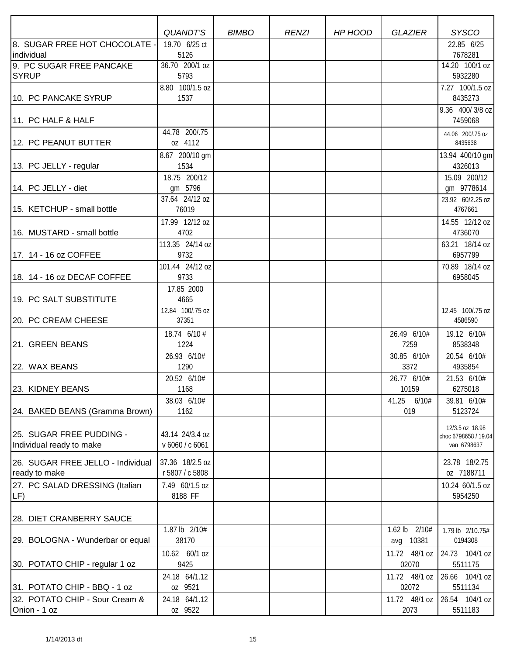|                                                      | <b>QUANDT'S</b>                    | <b>BIMBO</b> | <b>RENZI</b> | HP HOOD | <b>GLAZIER</b>             | <b>SYSCO</b>                                           |
|------------------------------------------------------|------------------------------------|--------------|--------------|---------|----------------------------|--------------------------------------------------------|
| 8. SUGAR FREE HOT CHOCOLATE -                        | 19.70 6/25 ct                      |              |              |         |                            | 22.85 6/25                                             |
| individual<br>9. PC SUGAR FREE PANCAKE               | 5126<br>36.70 200/1 oz             |              |              |         |                            | 7678281<br>14.20 100/1 oz                              |
| <b>SYRUP</b>                                         | 5793                               |              |              |         |                            | 5932280                                                |
|                                                      | 8.80 100/1.5 oz                    |              |              |         |                            | 7.27 100/1.5 oz                                        |
| 10. PC PANCAKE SYRUP                                 | 1537                               |              |              |         |                            | 8435273                                                |
| 11. PC HALF & HALF                                   |                                    |              |              |         |                            | 9.36 400/3/8 oz<br>7459068                             |
| 12. PC PEANUT BUTTER                                 | 44.78 200/.75<br>oz 4112           |              |              |         |                            | 44.06 200/.75 oz<br>8435638                            |
| 13. PC JELLY - regular                               | 8.67 200/10 gm<br>1534             |              |              |         |                            | 13.94 400/10 gm<br>4326013                             |
| 14. PC JELLY - diet                                  | 18.75 200/12<br>gm 5796            |              |              |         |                            | 15.09 200/12<br>gm 9778614                             |
| 15. KETCHUP - small bottle                           | 37.64 24/12 oz<br>76019            |              |              |         |                            | 23.92 60/2.25 oz<br>4767661                            |
| 16. MUSTARD - small bottle                           | 17.99 12/12 oz<br>4702             |              |              |         |                            | 14.55 12/12 oz<br>4736070                              |
| 17. 14 - 16 oz COFFEE                                | 113.35 24/14 oz<br>9732            |              |              |         |                            | 63.21 18/14 oz<br>6957799                              |
| 18. 14 - 16 oz DECAF COFFEE                          | 101.44 24/12 oz<br>9733            |              |              |         |                            | 70.89 18/14 oz<br>6958045                              |
| 19. PC SALT SUBSTITUTE                               | 17.85 2000<br>4665                 |              |              |         |                            |                                                        |
| 20. PC CREAM CHEESE                                  | 12.84 100/.75 oz<br>37351          |              |              |         |                            | 12.45 100/.75 oz<br>4586590                            |
| 21. GREEN BEANS                                      | 18.74 6/10 #<br>1224               |              |              |         | 26.49 6/10#<br>7259        | 19.12 6/10#<br>8538348                                 |
| 22. WAX BEANS                                        | 26.93 6/10#<br>1290                |              |              |         | 30.85 6/10#<br>3372        | 20.54 6/10#<br>4935854                                 |
| 23. KIDNEY BEANS                                     | 20.52 6/10#<br>1168                |              |              |         | 26.77 6/10#<br>10159       | 21.53 6/10#<br>6275018                                 |
| 24. BAKED BEANS (Gramma Brown)                       | 38.03 6/10#<br>1162                |              |              |         | 41.25 6/10#<br>019         | 39.81 6/10#<br>5123724                                 |
| 25. SUGAR FREE PUDDING -<br>Individual ready to make | 43.14 24/3.4 oz<br>v 6060 / c 6061 |              |              |         |                            | 12/3.5 oz 18.98<br>choc 6798658 / 19.04<br>van 6798637 |
| 26. SUGAR FREE JELLO - Individual<br>ready to make   | 37.36 18/2.5 oz<br>r 5807 / c 5808 |              |              |         |                            | 23.78 18/2.75<br>oz 7188711                            |
| 27. PC SALAD DRESSING (Italian<br>LF)                | 7.49 60/1.5 oz<br>8188 FF          |              |              |         |                            | 10.24 60/1.5 oz<br>5954250                             |
| 28. DIET CRANBERRY SAUCE                             |                                    |              |              |         |                            |                                                        |
| 29. BOLOGNA - Wunderbar or equal                     | 1.87 lb 2/10#<br>38170             |              |              |         | 1.62 lb 2/10#<br>avg 10381 | 1.79 lb 2/10.75#<br>0194308                            |
| 30. POTATO CHIP - regular 1 oz                       | 10.62 60/1 oz<br>9425              |              |              |         | 11.72 48/1 oz<br>02070     | 24.73 104/1 oz<br>5511175                              |
| 31. POTATO CHIP - BBQ - 1 oz                         | 24.18 64/1.12<br>oz 9521           |              |              |         | 11.72 48/1 oz<br>02072     | 26.66 104/1 oz<br>5511134                              |
| 32. POTATO CHIP - Sour Cream &                       | 24.18 64/1.12                      |              |              |         | 11.72 48/1 oz              | 26.54 104/1 oz                                         |
| Onion - 1 oz                                         | oz 9522                            |              |              |         | 2073                       | 5511183                                                |